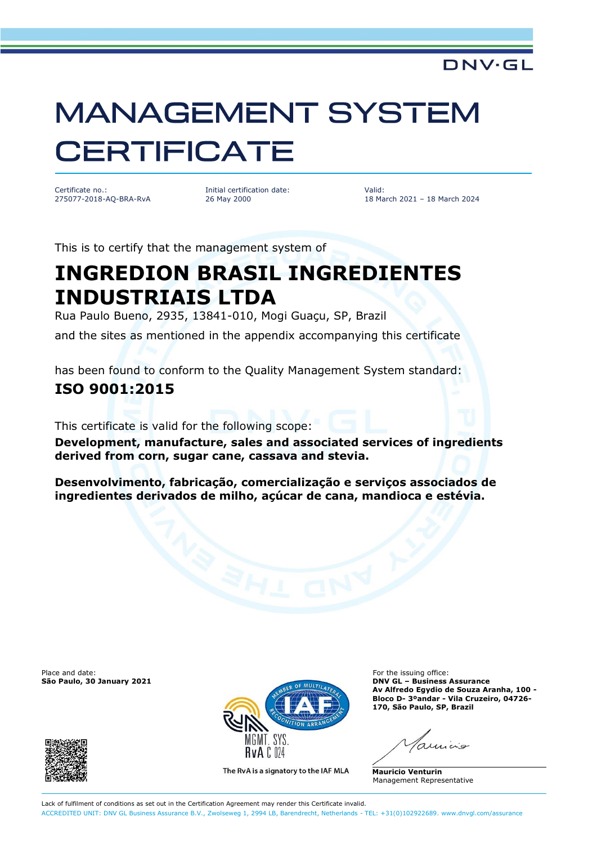### **DNV·GL**

# **MANAGEMENT SYSTEM CERTIFICATE**

Certificate no.: 275077-2018-AQ-BRA-RvA Initial certification date: 26 May 2000

Valid: 18 March 2021 – 18 March 2024

This is to certify that the management system of

# **INGREDION BRASIL INGREDIENTES INDUSTRIAIS LTDA**

Rua Paulo Bueno, 2935, 13841-010, Mogi Guaçu, SP, Brazil and the sites as mentioned in the appendix accompanying this certificate

has been found to conform to the Quality Management System standard: **ISO 9001:2015**

This certificate is valid for the following scope:

**Development, manufacture, sales and associated services of ingredients derived from corn, sugar cane, cassava and stevia.** 

**Desenvolvimento, fabricação, comercialização e serviços associados de ingredientes derivados de milho, açúcar de cana, mandioca e estévia.** 

Place and date: For the issuing office:<br> **São Paulo, 30 January 2021** Contract of the issuing office: **For the issuing office:** 





The RvA is a signatory to the IAF MLA

**São Paulo, 30 January 2021 DNV GL – Business Assurance Av Alfredo Egydio de Souza Aranha, 100 - Bloco D- 3ºandar - Vila Cruzeiro, 04726- 170, São Paulo, SP, Brazil**

**Mauricio Venturin** Management Representative

Lack of fulfilment of conditions as set out in the Certification Agreement may render this Certificate invalid. ACCREDITED UNIT: DNV GL Business Assurance B.V., Zwolseweg 1, 2994 LB, Barendrecht, Netherlands - TEL: +31(0)102922689. [www.dnvgl.com/assurance](http://www.dnvgl.com/assurance)